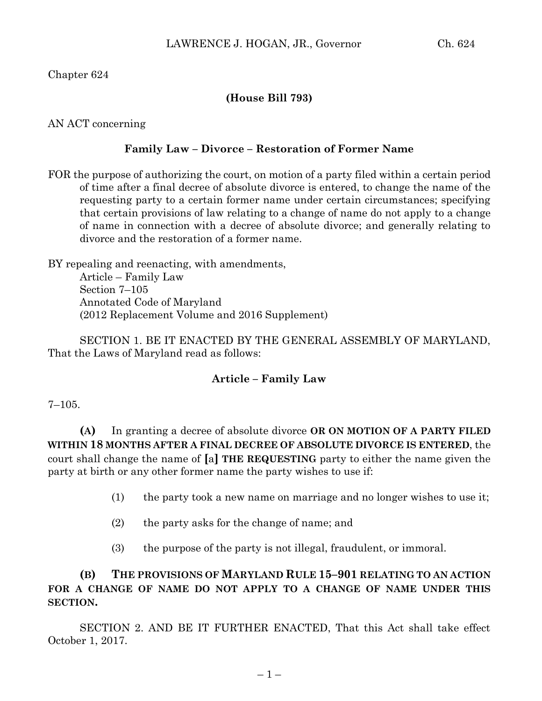# Chapter 624

# **(House Bill 793)**

AN ACT concerning

#### **Family Law – Divorce – Restoration of Former Name**

FOR the purpose of authorizing the court, on motion of a party filed within a certain period of time after a final decree of absolute divorce is entered, to change the name of the requesting party to a certain former name under certain circumstances; specifying that certain provisions of law relating to a change of name do not apply to a change of name in connection with a decree of absolute divorce; and generally relating to divorce and the restoration of a former name.

BY repealing and reenacting, with amendments, Article – Family Law Section 7–105 Annotated Code of Maryland (2012 Replacement Volume and 2016 Supplement)

SECTION 1. BE IT ENACTED BY THE GENERAL ASSEMBLY OF MARYLAND, That the Laws of Maryland read as follows:

### **Article – Family Law**

#### 7–105.

**(A)** In granting a decree of absolute divorce **OR ON MOTION OF A PARTY FILED WITHIN 18 MONTHS AFTER A FINAL DECREE OF ABSOLUTE DIVORCE IS ENTERED**, the court shall change the name of **[**a**] THE REQUESTING** party to either the name given the party at birth or any other former name the party wishes to use if:

- (1) the party took a new name on marriage and no longer wishes to use it;
- (2) the party asks for the change of name; and
- (3) the purpose of the party is not illegal, fraudulent, or immoral.

**(B) THE PROVISIONS OF MARYLAND RULE 15–901 RELATING TO AN ACTION FOR A CHANGE OF NAME DO NOT APPLY TO A CHANGE OF NAME UNDER THIS SECTION.**

SECTION 2. AND BE IT FURTHER ENACTED, That this Act shall take effect October 1, 2017.